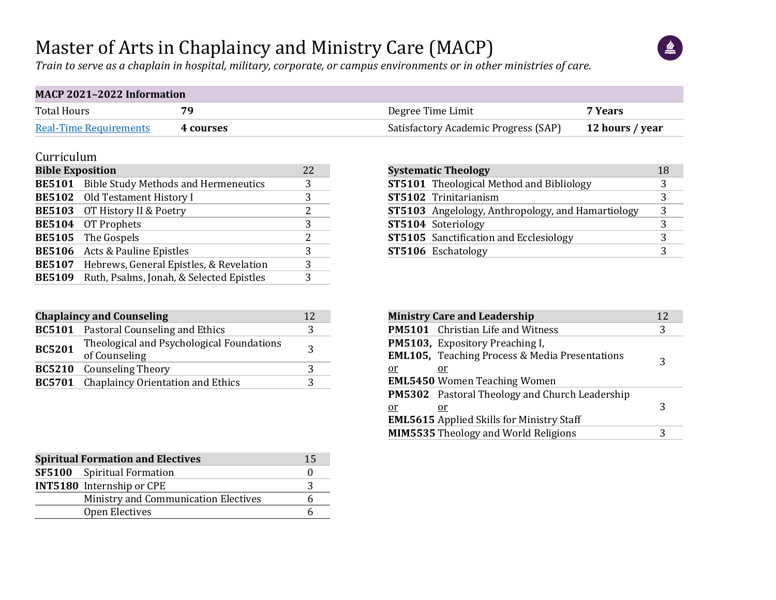### Master of Arts in Chaplaincy and Ministry Care (MACP)



*Train to serve as a chaplain in hospital, military, corporate, or campus environments or in other ministries of care.*

#### **MACP 2021–2022 Information**

| <b>Total Hours</b>            | 70        | Degree Time Limit                    | 7 Years         |
|-------------------------------|-----------|--------------------------------------|-----------------|
| <b>Real-Time Requirements</b> | 4 courses | Satisfactory Academic Progress (SAP) | 12 hours / year |

#### Curriculum

| <b>Bible Exposition</b> |                                             | 22 |
|-------------------------|---------------------------------------------|----|
| <b>BE5101</b>           | <b>Bible Study Methods and Hermeneutics</b> | 3  |
|                         | <b>BE5102</b> Old Testament History I       | 3  |
| <b>BE5103</b>           | OT History II & Poetry                      | 2  |
|                         | BE5104 OT Prophets                          | 3  |
| <b>BE5105</b>           | The Gospels                                 | 2  |
| <b>BE5106</b>           | Acts & Pauline Epistles                     | 3  |
| <b>BE5107</b>           | Hebrews, General Epistles, & Revelation     | 3  |
| <b>BE5109</b>           | Ruth, Psalms, Jonah, & Selected Epistles    | 3  |

| <b>Chaplaincy and Counseling</b> |                                                            |   |  |  |  |  |  |  |
|----------------------------------|------------------------------------------------------------|---|--|--|--|--|--|--|
|                                  | <b>BC5101</b> Pastoral Counseling and Ethics               | 3 |  |  |  |  |  |  |
| <b>BC5201</b>                    | Theological and Psychological Foundations<br>of Counseling | 3 |  |  |  |  |  |  |
|                                  | <b>BC5210</b> Counseling Theory                            | 3 |  |  |  |  |  |  |
|                                  | <b>BC5701</b> Chaplaincy Orientation and Ethics            |   |  |  |  |  |  |  |

| <b>Spiritual Formation and Electives</b> | 15 |
|------------------------------------------|----|
| <b>SF5100</b> Spiritual Formation        |    |
| <b>INT5180</b> Internship or CPE         |    |
| Ministry and Communication Electives     |    |
| Open Electives                           |    |

| <b>Systematic Theology</b> |                                                          |   |  |  |  |  |  |  |
|----------------------------|----------------------------------------------------------|---|--|--|--|--|--|--|
|                            | <b>ST5101</b> Theological Method and Bibliology          | 3 |  |  |  |  |  |  |
|                            | ST5102 Trinitarianism                                    | 3 |  |  |  |  |  |  |
|                            | <b>ST5103</b> Angelology, Anthropology, and Hamartiology | 3 |  |  |  |  |  |  |
|                            | ST5104 Soteriology                                       | 3 |  |  |  |  |  |  |
|                            | <b>ST5105</b> Sanctification and Ecclesiology            | 3 |  |  |  |  |  |  |
|                            | ST5106 Eschatology                                       | 3 |  |  |  |  |  |  |

|    | <b>Ministry Care and Leadership</b>                       | 12 |
|----|-----------------------------------------------------------|----|
|    | <b>PM5101</b> Christian Life and Witness                  | 3  |
|    | PM5103, Expository Preaching I,                           |    |
|    | <b>EML105, Teaching Process &amp; Media Presentations</b> | 3  |
| or | or                                                        |    |
|    | <b>EML5450 Women Teaching Women</b>                       |    |
|    | <b>PM5302</b> Pastoral Theology and Church Leadership     |    |
| or | or.                                                       | 3  |
|    | <b>EML5615</b> Applied Skills for Ministry Staff          |    |
|    | <b>MIM5535</b> Theology and World Religions               | 3  |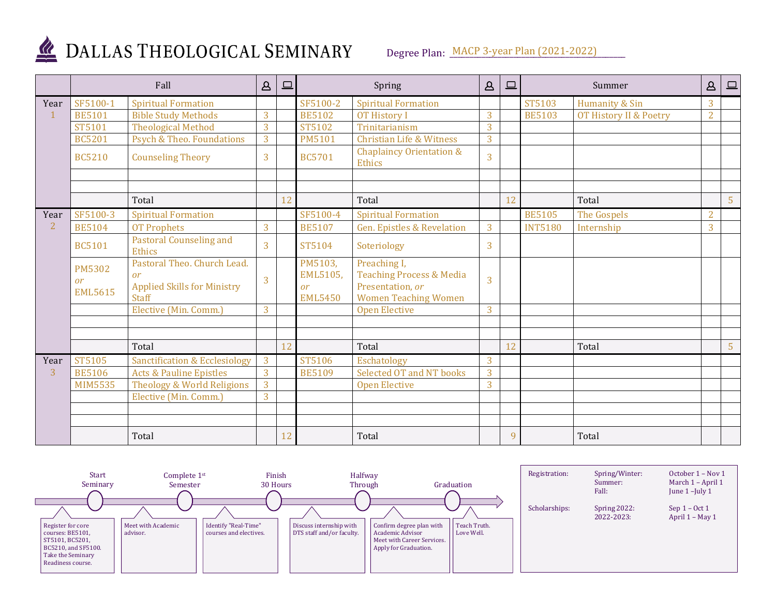

# DALLAS THEOLOGICAL SEMINARY

Degree Plan: MACP 3-year Plan (2021-2022)

|      |                                       | Fall                                                                                    | $\Delta$ | $\Box$ |                                             | Spring                                                                                                 |                | $\boxed{\square}$ |                | Summer                 | $\Delta$       | $\qquad \qquad \Box$ |
|------|---------------------------------------|-----------------------------------------------------------------------------------------|----------|--------|---------------------------------------------|--------------------------------------------------------------------------------------------------------|----------------|-------------------|----------------|------------------------|----------------|----------------------|
| Year | SF5100-1                              | <b>Spiritual Formation</b>                                                              |          |        | SF5100-2                                    | <b>Spiritual Formation</b>                                                                             |                |                   | ST5103         | Humanity & Sin         | 3              |                      |
|      | <b>BE5101</b>                         | <b>Bible Study Methods</b>                                                              | 3        |        | <b>BE5102</b>                               | <b>OT History I</b>                                                                                    | 3              |                   | <b>BE5103</b>  | OT History II & Poetry | $\overline{2}$ |                      |
|      | ST5101                                | <b>Theological Method</b>                                                               | 3        |        | ST5102                                      | Trinitarianism                                                                                         | $\overline{3}$ |                   |                |                        |                |                      |
|      | <b>BC5201</b>                         | Psych & Theo. Foundations                                                               | 3        |        | <b>PM5101</b>                               | <b>Christian Life &amp; Witness</b>                                                                    | 3              |                   |                |                        |                |                      |
|      | <b>BC5210</b>                         | <b>Counseling Theory</b>                                                                | 3        |        | <b>BC5701</b>                               | <b>Chaplaincy Orientation &amp;</b><br><b>Ethics</b>                                                   | $\overline{3}$ |                   |                |                        |                |                      |
|      |                                       |                                                                                         |          |        |                                             |                                                                                                        |                |                   |                |                        |                |                      |
|      |                                       |                                                                                         |          |        |                                             |                                                                                                        |                |                   |                |                        |                |                      |
|      |                                       | Total                                                                                   |          | 12     |                                             | Total                                                                                                  |                | 12                |                | Total                  |                | 5                    |
| Year | SF5100-3                              | <b>Spiritual Formation</b>                                                              |          |        | SF5100-4                                    | <b>Spiritual Formation</b>                                                                             |                |                   | <b>BE5105</b>  | The Gospels            | $\overline{2}$ |                      |
| 2    | <b>BE5104</b>                         | <b>OT Prophets</b>                                                                      | 3        |        | <b>BE5107</b>                               | <b>Gen. Epistles &amp; Revelation</b>                                                                  | 3              |                   | <b>INT5180</b> | Internship             | 3              |                      |
|      | <b>BC5101</b>                         | <b>Pastoral Counseling and</b><br><b>Ethics</b>                                         | 3        |        | ST5104                                      | Soteriology                                                                                            | 3              |                   |                |                        |                |                      |
|      | <b>PM5302</b><br>or<br><b>EML5615</b> | Pastoral Theo. Church Lead.<br>or<br><b>Applied Skills for Ministry</b><br><b>Staff</b> | 3        |        | PM5103,<br>EML5105,<br>or<br><b>EML5450</b> | Preaching I,<br><b>Teaching Process &amp; Media</b><br>Presentation, or<br><b>Women Teaching Women</b> | 3              |                   |                |                        |                |                      |
|      |                                       | Elective (Min. Comm.)                                                                   | 3        |        |                                             | <b>Open Elective</b>                                                                                   | $\overline{3}$ |                   |                |                        |                |                      |
|      |                                       |                                                                                         |          |        |                                             |                                                                                                        |                |                   |                |                        |                |                      |
|      |                                       |                                                                                         |          |        |                                             |                                                                                                        |                |                   |                |                        |                |                      |
|      |                                       | Total                                                                                   |          | 12     |                                             | Total                                                                                                  |                | 12                |                | Total                  |                | 5                    |
| Year | ST5105                                | <b>Sanctification &amp; Ecclesiology</b>                                                | 3        |        | ST5106                                      | Eschatology                                                                                            | 3              |                   |                |                        |                |                      |
| 3    | <b>BE5106</b>                         | <b>Acts &amp; Pauline Epistles</b>                                                      | 3        |        | <b>BE5109</b>                               | <b>Selected OT and NT books</b>                                                                        | 3              |                   |                |                        |                |                      |
|      | <b>MIM5535</b>                        | Theology & World Religions                                                              | 3        |        |                                             | <b>Open Elective</b>                                                                                   | $\overline{3}$ |                   |                |                        |                |                      |
|      |                                       | Elective (Min. Comm.)                                                                   | 3        |        |                                             |                                                                                                        |                |                   |                |                        |                |                      |
|      |                                       |                                                                                         |          |        |                                             |                                                                                                        |                |                   |                |                        |                |                      |
|      |                                       |                                                                                         |          |        |                                             |                                                                                                        |                |                   |                |                        |                |                      |
|      |                                       | Total                                                                                   |          | 12     |                                             | Total                                                                                                  |                | 9                 |                | Total                  |                |                      |

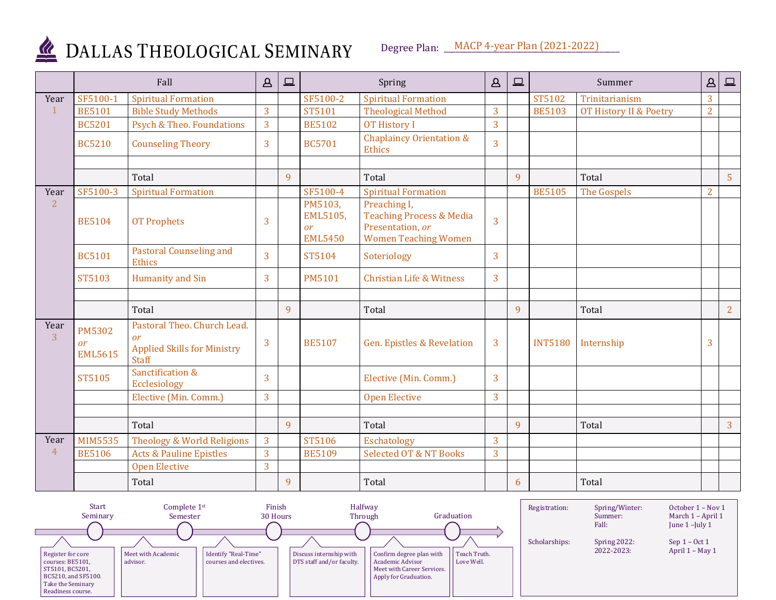

DALLAS THEOLOGICAL SEMINARY

Degree Plan: \_\_\_MACP 4-year Plan (2021-2022)

|                        | Fall                                         |                                                                                                | $\mathbf{A}$ | $\boxed{\square}$ | Spring                                      |                                                                                                        | $\Delta$       | $\Box$ |                | Summer                 | $\Delta$       | $\boxed{\square}$ |
|------------------------|----------------------------------------------|------------------------------------------------------------------------------------------------|--------------|-------------------|---------------------------------------------|--------------------------------------------------------------------------------------------------------|----------------|--------|----------------|------------------------|----------------|-------------------|
| Year                   | SF5100-1                                     | <b>Spiritual Formation</b>                                                                     |              |                   | SF5100-2                                    | <b>Spiritual Formation</b>                                                                             |                |        | ST5102         | Trinitarianism         | 3              |                   |
| $\mathbf{1}$           | <b>BE5101</b>                                | <b>Bible Study Methods</b>                                                                     | 3            |                   | ST5101                                      | <b>Theological Method</b>                                                                              | 3              |        | <b>BE5103</b>  | OT History II & Poetry | $\overline{2}$ |                   |
|                        | <b>BC5201</b>                                | Psych & Theo. Foundations                                                                      | 3            |                   | <b>BE5102</b>                               | <b>OT History I</b>                                                                                    | $\overline{3}$ |        |                |                        |                |                   |
|                        | <b>BC5210</b>                                | <b>Counseling Theory</b>                                                                       | 3            |                   | <b>BC5701</b>                               | <b>Chaplaincy Orientation &amp;</b><br>Ethics                                                          | 3              |        |                |                        |                |                   |
|                        |                                              | Total                                                                                          |              | 9                 |                                             | Total                                                                                                  |                | 9      |                | Total                  |                | 5 <sup>5</sup>    |
| Year                   | SF5100-3                                     | <b>Spiritual Formation</b>                                                                     |              |                   | SF5100-4                                    | <b>Spiritual Formation</b>                                                                             |                |        | <b>BE5105</b>  | The Gospels            | $\overline{2}$ |                   |
| $\overline{2}$         | <b>BE5104</b>                                | <b>OT Prophets</b>                                                                             | 3            |                   | PM5103,<br>EML5105,<br>or<br><b>EML5450</b> | Preaching I,<br><b>Teaching Process &amp; Media</b><br>Presentation, or<br><b>Women Teaching Women</b> | $\overline{3}$ |        |                |                        |                |                   |
|                        | <b>BC5101</b>                                | <b>Pastoral Counseling and</b><br>Ethics                                                       | 3            |                   | ST5104                                      | Soteriology                                                                                            | 3              |        |                |                        |                |                   |
|                        | ST5103                                       | Humanity and Sin                                                                               | 3            |                   | <b>PM5101</b>                               | <b>Christian Life &amp; Witness</b>                                                                    | 3              |        |                |                        |                |                   |
|                        |                                              | Total                                                                                          |              | 9                 |                                             | Total                                                                                                  |                | 9      |                | Total                  |                |                   |
|                        |                                              |                                                                                                |              |                   |                                             |                                                                                                        |                |        |                |                        |                | $\overline{2}$    |
| Year<br>$\overline{3}$ | <b>PM5302</b><br><b>or</b><br><b>EML5615</b> | Pastoral Theo. Church Lead.<br><b>or</b><br><b>Applied Skills for Ministry</b><br><b>Staff</b> | 3            |                   | <b>BE5107</b>                               | <b>Gen. Epistles &amp; Revelation</b>                                                                  | 3              |        | <b>INT5180</b> | Internship             | 3              |                   |
|                        | ST5105                                       | Sanctification &<br>Ecclesiology                                                               | 3            |                   |                                             | Elective (Min. Comm.)                                                                                  | $\overline{3}$ |        |                |                        |                |                   |
|                        |                                              | Elective (Min. Comm.)                                                                          | 3            |                   |                                             | <b>Open Elective</b>                                                                                   | $\overline{3}$ |        |                |                        |                |                   |
|                        |                                              |                                                                                                |              |                   |                                             |                                                                                                        |                |        |                |                        |                |                   |
|                        |                                              | Total                                                                                          |              | 9                 |                                             | Total                                                                                                  |                | 9      |                | Total                  |                | $\overline{3}$    |
| Year                   | <b>MIM5535</b>                               | Theology & World Religions                                                                     | 3            |                   | ST5106                                      | Eschatology                                                                                            | 3              |        |                |                        |                |                   |
| $\overline{4}$         | <b>BE5106</b>                                | <b>Acts &amp; Pauline Epistles</b>                                                             | 3            |                   | <b>BE5109</b>                               | <b>Selected OT &amp; NT Books</b>                                                                      | $\overline{3}$ |        |                |                        |                |                   |
|                        |                                              | <b>Open Elective</b>                                                                           | 3            |                   |                                             |                                                                                                        |                |        |                |                        |                |                   |
|                        |                                              | Total                                                                                          |              | 9                 |                                             | Total                                                                                                  |                | 6      |                | Total                  |                |                   |

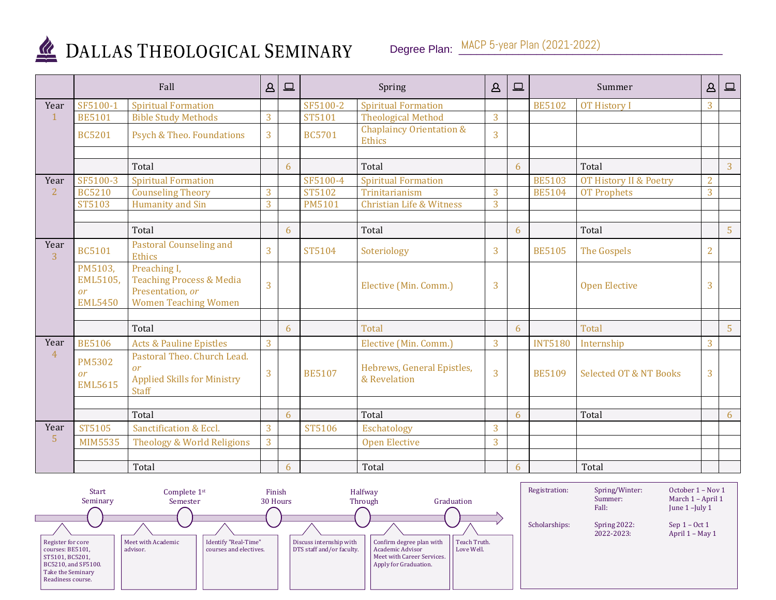

## DALLAS THEOLOGICAL SEMINARY

Degree Plan: MACP 5-year Plan (2021-2022)

|                        | Fall                                               |                                                                                                        | $\Delta$       | $\qquad \qquad \Box$ |               | Spring                                        |                | $\Box$ |                | Summer                            | $\Delta$       | $\boxed{\square}$ |
|------------------------|----------------------------------------------------|--------------------------------------------------------------------------------------------------------|----------------|----------------------|---------------|-----------------------------------------------|----------------|--------|----------------|-----------------------------------|----------------|-------------------|
| Year                   | SF5100-1                                           | <b>Spiritual Formation</b>                                                                             |                |                      | SF5100-2      | <b>Spiritual Formation</b>                    |                |        | <b>BE5102</b>  | <b>OT History I</b>               | 3              |                   |
| $\mathbf 1$            | <b>BE5101</b>                                      | <b>Bible Study Methods</b>                                                                             | 3              |                      | ST5101        | <b>Theological Method</b>                     | 3              |        |                |                                   |                |                   |
|                        | <b>BC5201</b>                                      | Psych & Theo. Foundations                                                                              | $\overline{3}$ |                      | <b>BC5701</b> | <b>Chaplaincy Orientation &amp;</b><br>Ethics | $\overline{3}$ |        |                |                                   |                |                   |
|                        |                                                    |                                                                                                        |                |                      |               |                                               |                |        |                |                                   |                |                   |
|                        |                                                    | Total                                                                                                  |                | 6                    |               | Total                                         |                | 6      |                | Total                             |                | 3                 |
| Year                   | SF5100-3                                           | <b>Spiritual Formation</b>                                                                             |                |                      | SF5100-4      | <b>Spiritual Formation</b>                    |                |        | <b>BE5103</b>  | OT History II & Poetry            | $\overline{2}$ |                   |
| $\overline{2}$         | <b>BC5210</b>                                      | <b>Counseling Theory</b>                                                                               | 3              |                      | ST5102        | Trinitarianism                                | 3              |        | <b>BE5104</b>  | <b>OT Prophets</b>                | $\overline{3}$ |                   |
|                        | ST5103                                             | Humanity and Sin                                                                                       | 3              |                      | <b>PM5101</b> | <b>Christian Life &amp; Witness</b>           | 3              |        |                |                                   |                |                   |
|                        |                                                    |                                                                                                        |                |                      |               |                                               |                |        |                |                                   |                |                   |
|                        |                                                    | Total                                                                                                  |                | 6                    |               | Total                                         |                | 6      |                | Total                             |                | $\overline{5}$    |
| Year<br>$\overline{3}$ | <b>BC5101</b>                                      | <b>Pastoral Counseling and</b><br>Ethics                                                               | $\overline{3}$ |                      | ST5104        | Soteriology                                   | 3              |        | <b>BE5105</b>  | The Gospels                       | $\overline{2}$ |                   |
|                        | PM5103,<br>EML5105,<br><b>or</b><br><b>EML5450</b> | Preaching I,<br><b>Teaching Process &amp; Media</b><br>Presentation, or<br><b>Women Teaching Women</b> | $\overline{3}$ |                      |               | Elective (Min. Comm.)                         | 3              |        |                | <b>Open Elective</b>              | 3              |                   |
|                        |                                                    |                                                                                                        |                |                      |               |                                               |                |        |                |                                   |                |                   |
|                        |                                                    | Total                                                                                                  |                | 6                    |               | Total                                         |                | 6      |                | <b>Total</b>                      |                | 5 <sup>5</sup>    |
| Year                   | <b>BE5106</b>                                      | <b>Acts &amp; Pauline Epistles</b>                                                                     | 3              |                      |               | Elective (Min. Comm.)                         | $\overline{3}$ |        | <b>INT5180</b> | Internship                        | 3              |                   |
| $\overline{4}$         | <b>PM5302</b><br><sub>or</sub><br><b>EML5615</b>   | Pastoral Theo. Church Lead.<br><b>or</b><br><b>Applied Skills for Ministry</b><br><b>Staff</b>         | 3              |                      | <b>BE5107</b> | Hebrews, General Epistles,<br>& Revelation    | $\overline{3}$ |        | <b>BE5109</b>  | <b>Selected OT &amp; NT Books</b> | 3              |                   |
|                        |                                                    |                                                                                                        |                |                      |               |                                               |                |        |                |                                   |                |                   |
|                        |                                                    | Total                                                                                                  |                | 6                    |               | Total                                         |                | 6      |                | Total                             |                | 6                 |
| Year                   | ST5105                                             | Sanctification & Eccl.                                                                                 | 3              |                      | ST5106        | Eschatology                                   | 3              |        |                |                                   |                |                   |
| 5                      | <b>MIM5535</b>                                     | Theology & World Religions                                                                             | 3              |                      |               | <b>Open Elective</b>                          | 3              |        |                |                                   |                |                   |
|                        |                                                    |                                                                                                        |                |                      |               |                                               |                |        |                |                                   |                |                   |
|                        |                                                    | Total                                                                                                  |                | 6                    |               | Total                                         |                | 6      |                | Total                             |                |                   |